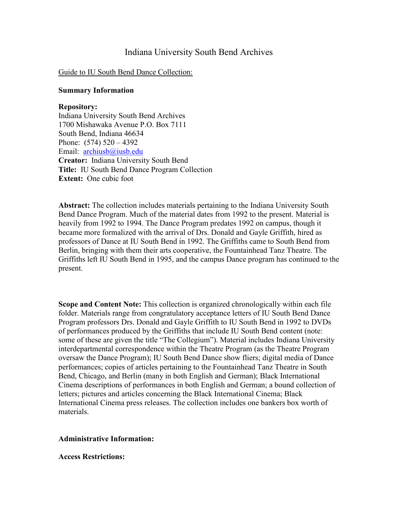# Indiana University South Bend Archives

### Guide to IU South Bend Dance Collection:

### **Summary Information**

### **Repository:**

Indiana University South Bend Archives 1700 Mishawaka Avenue P.O. Box 7111 South Bend, Indiana 46634 Phone:  $(574)$  520 – 4392 Email: [archiusb@iusb.edu](mailto:archiusb@iusb.edu) **Creator:** Indiana University South Bend **Title:** IU South Bend Dance Program Collection **Extent:** One cubic foot

**Abstract:** The collection includes materials pertaining to the Indiana University South Bend Dance Program. Much of the material dates from 1992 to the present. Material is heavily from 1992 to 1994. The Dance Program predates 1992 on campus, though it became more formalized with the arrival of Drs. Donald and Gayle Griffith, hired as professors of Dance at IU South Bend in 1992. The Griffiths came to South Bend from Berlin, bringing with them their arts cooperative, the Fountainhead Tanz Theatre. The Griffiths left IU South Bend in 1995, and the campus Dance program has continued to the present.

**Scope and Content Note:** This collection is organized chronologically within each file folder. Materials range from congratulatory acceptance letters of IU South Bend Dance Program professors Drs. Donald and Gayle Griffith to IU South Bend in 1992 to DVDs of performances produced by the Griffiths that include IU South Bend content (note: some of these are given the title "The Collegium"). Material includes Indiana University interdepartmental correspondence within the Theatre Program (as the Theatre Program oversaw the Dance Program); IU South Bend Dance show fliers; digital media of Dance performances; copies of articles pertaining to the Fountainhead Tanz Theatre in South Bend, Chicago, and Berlin (many in both English and German); Black International Cinema descriptions of performances in both English and German; a bound collection of letters; pictures and articles concerning the Black International Cinema; Black International Cinema press releases. The collection includes one bankers box worth of materials.

### **Administrative Information:**

#### **Access Restrictions:**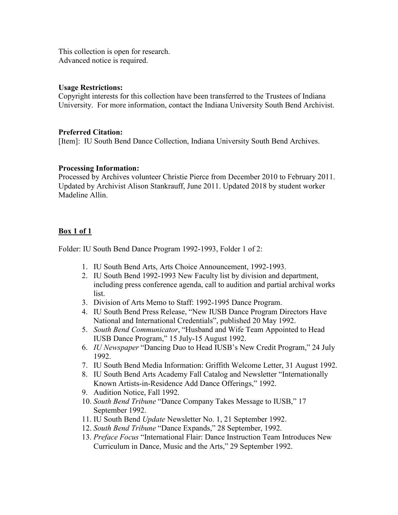This collection is open for research. Advanced notice is required.

## **Usage Restrictions:**

Copyright interests for this collection have been transferred to the Trustees of Indiana University. For more information, contact the Indiana University South Bend Archivist.

## **Preferred Citation:**

[Item]: IU South Bend Dance Collection, Indiana University South Bend Archives.

## **Processing Information:**

Processed by Archives volunteer Christie Pierce from December 2010 to February 2011. Updated by Archivist Alison Stankrauff, June 2011. Updated 2018 by student worker Madeline Allin.

## **Box 1 of 1**

Folder: IU South Bend Dance Program 1992-1993, Folder 1 of 2:

- 1. IU South Bend Arts, Arts Choice Announcement, 1992-1993.
- 2. IU South Bend 1992-1993 New Faculty list by division and department, including press conference agenda, call to audition and partial archival works list.
- 3. Division of Arts Memo to Staff: 1992-1995 Dance Program.
- 4. IU South Bend Press Release, "New IUSB Dance Program Directors Have National and International Credentials", published 20 May 1992.
- 5. *South Bend Communicator*, "Husband and Wife Team Appointed to Head IUSB Dance Program," 15 July-15 August 1992.
- 6. *IU Newspaper* "Dancing Duo to Head IUSB's New Credit Program," 24 July 1992.
- 7. IU South Bend Media Information: Griffith Welcome Letter, 31 August 1992.
- 8. IU South Bend Arts Academy Fall Catalog and Newsletter "Internationally Known Artists-in-Residence Add Dance Offerings," 1992.
- 9. Audition Notice, Fall 1992.
- 10. *South Bend Tribune* "Dance Company Takes Message to IUSB," 17 September 1992.
- 11. IU South Bend *Update* Newsletter No. 1, 21 September 1992.
- 12. *South Bend Tribune* "Dance Expands," 28 September, 1992.
- 13. *Preface Focus* "International Flair: Dance Instruction Team Introduces New Curriculum in Dance, Music and the Arts," 29 September 1992.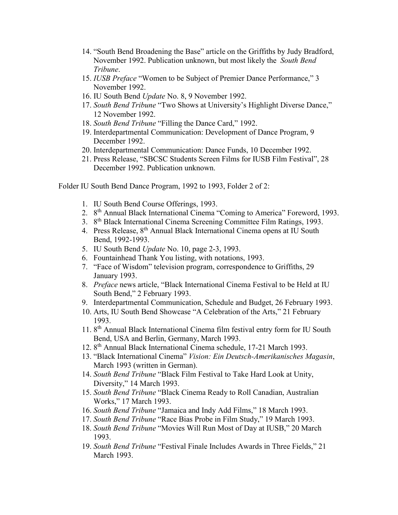- 14. "South Bend Broadening the Base" article on the Griffiths by Judy Bradford, November 1992. Publication unknown, but most likely the *South Bend Tribune*.
- 15. *IUSB Preface* "Women to be Subject of Premier Dance Performance," 3 November 1992.
- 16. IU South Bend *Update* No. 8, 9 November 1992.
- 17. *South Bend Tribune* "Two Shows at University's Highlight Diverse Dance," 12 November 1992.
- 18. *South Bend Tribune* "Filling the Dance Card," 1992.
- 19. Interdepartmental Communication: Development of Dance Program, 9 December 1992.
- 20. Interdepartmental Communication: Dance Funds, 10 December 1992.
- 21. Press Release, "SBCSC Students Screen Films for IUSB Film Festival", 28 December 1992. Publication unknown.

Folder IU South Bend Dance Program, 1992 to 1993, Folder 2 of 2:

- 1. IU South Bend Course Offerings, 1993.
- 2. 8th Annual Black International Cinema "Coming to America" Foreword, 1993.
- 3. 8<sup>th</sup> Black International Cinema Screening Committee Film Ratings, 1993.
- 4. Press Release, 8<sup>th</sup> Annual Black International Cinema opens at IU South Bend, 1992-1993.
- 5. IU South Bend *Update* No. 10, page 2-3, 1993.
- 6. Fountainhead Thank You listing, with notations, 1993.
- 7. "Face of Wisdom" television program, correspondence to Griffiths, 29 January 1993.
- 8. *Preface* news article, "Black International Cinema Festival to be Held at IU South Bend," 2 February 1993.
- 9. Interdepartmental Communication, Schedule and Budget, 26 February 1993.
- 10. Arts, IU South Bend Showcase "A Celebration of the Arts," 21 February 1993.
- 11. 8th Annual Black International Cinema film festival entry form for IU South Bend, USA and Berlin, Germany, March 1993.
- 12. 8th Annual Black International Cinema schedule, 17-21 March 1993.
- 13. "Black International Cinema" *Vision: Ein Deutsch-Amerikanisches Magasin*, March 1993 (written in German).
- 14. *South Bend Tribune* "Black Film Festival to Take Hard Look at Unity, Diversity," 14 March 1993.
- 15. *South Bend Tribune* "Black Cinema Ready to Roll Canadian, Australian Works," 17 March 1993.
- 16. *South Bend Tribune* "Jamaica and Indy Add Films," 18 March 1993.
- 17. *South Bend Tribune* "Race Bias Probe in Film Study," 19 March 1993.
- 18. *South Bend Tribune* "Movies Will Run Most of Day at IUSB," 20 March 1993.
- 19. *South Bend Tribune* "Festival Finale Includes Awards in Three Fields," 21 March 1993.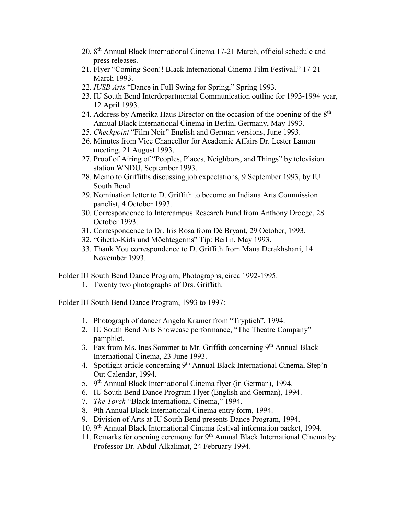- 20. 8th Annual Black International Cinema 17-21 March, official schedule and press releases.
- 21. Flyer "Coming Soon!! Black International Cinema Film Festival," 17-21 March 1993.
- 22. *IUSB Arts* "Dance in Full Swing for Spring," Spring 1993.
- 23. IU South Bend Interdepartmental Communication outline for 1993-1994 year, 12 April 1993.
- 24. Address by Amerika Haus Director on the occasion of the opening of the 8<sup>th</sup> Annual Black International Cinema in Berlin, Germany, May 1993.
- 25. *Checkpoint* "Film Noir" English and German versions, June 1993.
- 26. Minutes from Vice Chancellor for Academic Affairs Dr. Lester Lamon meeting, 21 August 1993.
- 27. Proof of Airing of "Peoples, Places, Neighbors, and Things" by television station WNDU, September 1993.
- 28. Memo to Griffiths discussing job expectations, 9 September 1993, by IU South Bend.
- 29. Nomination letter to D. Griffith to become an Indiana Arts Commission panelist, 4 October 1993.
- 30. Correspondence to Intercampus Research Fund from Anthony Droege, 28 October 1993.
- 31. Correspondence to Dr. Iris Rosa from Dé Bryant, 29 October, 1993.
- 32. "Ghetto-Kids und Möchtegerms" Tip: Berlin, May 1993.
- 33. Thank You correspondence to D. Griffith from Mana Derakhshani, 14 November 1993.
- Folder IU South Bend Dance Program, Photographs, circa 1992-1995.
	- 1. Twenty two photographs of Drs. Griffith.

Folder IU South Bend Dance Program, 1993 to 1997:

- 1. Photograph of dancer Angela Kramer from "Tryptich", 1994.
- 2. IU South Bend Arts Showcase performance, "The Theatre Company" pamphlet.
- 3. Fax from Ms. Ines Sommer to Mr. Griffith concerning  $9<sup>th</sup>$  Annual Black International Cinema, 23 June 1993.
- 4. Spotlight article concerning 9<sup>th</sup> Annual Black International Cinema, Step'n Out Calendar, 1994.
- 5. 9<sup>th</sup> Annual Black International Cinema flyer (in German), 1994.
- 6. IU South Bend Dance Program Flyer (English and German), 1994.
- 7. *The Torch* "Black International Cinema," 1994.
- 8. 9th Annual Black International Cinema entry form, 1994.
- 9. Division of Arts at IU South Bend presents Dance Program, 1994.
- 10. 9th Annual Black International Cinema festival information packet, 1994.
- 11. Remarks for opening ceremony for  $9<sup>th</sup>$  Annual Black International Cinema by Professor Dr. Abdul Alkalimat, 24 February 1994.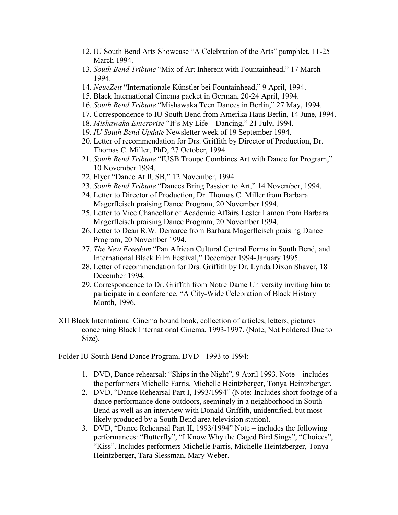- 12. IU South Bend Arts Showcase "A Celebration of the Arts" pamphlet, 11-25 March 1994.
- 13. *South Bend Tribune* "Mix of Art Inherent with Fountainhead," 17 March 1994.
- 14. *NeueZeit* "Internationale Künstler bei Fountainhead," 9 April, 1994.
- 15. Black International Cinema packet in German, 20-24 April, 1994.
- 16. *South Bend Tribune* "Mishawaka Teen Dances in Berlin," 27 May, 1994.
- 17. Correspondence to IU South Bend from Amerika Haus Berlin, 14 June, 1994.
- 18. *Mishawaka Enterprise* "It's My Life Dancing," 21 July, 1994.
- 19. *IU South Bend Update* Newsletter week of 19 September 1994.
- 20. Letter of recommendation for Drs. Griffith by Director of Production, Dr. Thomas C. Miller, PhD, 27 October, 1994.
- 21. *South Bend Tribune* "IUSB Troupe Combines Art with Dance for Program," 10 November 1994.
- 22. Flyer "Dance At IUSB," 12 November, 1994.
- 23. *South Bend Tribune* "Dances Bring Passion to Art," 14 November, 1994.
- 24. Letter to Director of Production, Dr. Thomas C. Miller from Barbara Magerfleisch praising Dance Program, 20 November 1994.
- 25. Letter to Vice Chancellor of Academic Affairs Lester Lamon from Barbara Magerfleisch praising Dance Program, 20 November 1994.
- 26. Letter to Dean R.W. Demaree from Barbara Magerfleisch praising Dance Program, 20 November 1994.
- 27. *The New Freedom* "Pan African Cultural Central Forms in South Bend, and International Black Film Festival," December 1994-January 1995.
- 28. Letter of recommendation for Drs. Griffith by Dr. Lynda Dixon Shaver, 18 December 1994.
- 29. Correspondence to Dr. Griffith from Notre Dame University inviting him to participate in a conference, "A City-Wide Celebration of Black History Month, 1996.
- XII Black International Cinema bound book, collection of articles, letters, pictures concerning Black International Cinema, 1993-1997. (Note, Not Foldered Due to Size).

Folder IU South Bend Dance Program, DVD - 1993 to 1994:

- 1. DVD, Dance rehearsal: "Ships in the Night", 9 April 1993. Note includes the performers Michelle Farris, Michelle Heintzberger, Tonya Heintzberger.
- 2. DVD, "Dance Rehearsal Part I, 1993/1994" (Note: Includes short footage of a dance performance done outdoors, seemingly in a neighborhood in South Bend as well as an interview with Donald Griffith, unidentified, but most likely produced by a South Bend area television station).
- 3. DVD, "Dance Rehearsal Part II, 1993/1994" Note includes the following performances: "Butterfly", "I Know Why the Caged Bird Sings", "Choices", "Kiss". Includes performers Michelle Farris, Michelle Heintzberger, Tonya Heintzberger, Tara Slessman, Mary Weber.